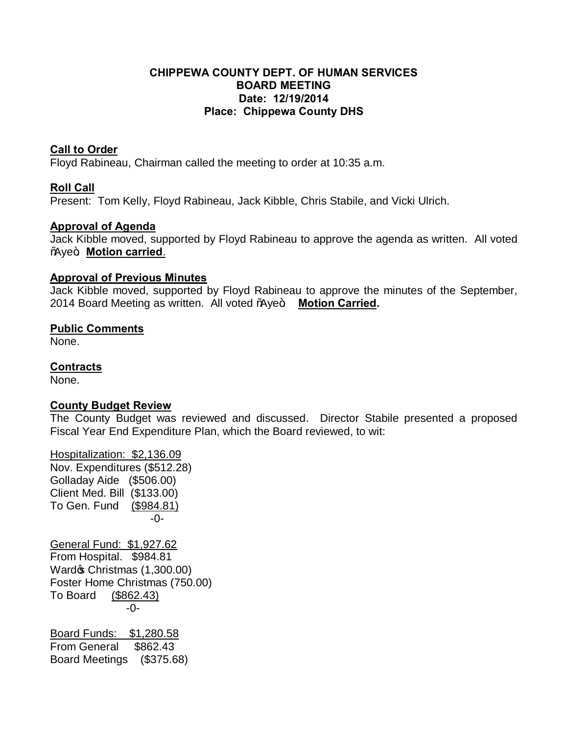#### **CHIPPEWA COUNTY DEPT. OF HUMAN SERVICES BOARD MEETING Date: 12/19/2014 Place: Chippewa County DHS**

## **Call to Order**

Floyd Rabineau, Chairman called the meeting to order at 10:35 a.m.

## **Roll Call**

Present: Tom Kelly, Floyd Rabineau, Jack Kibble, Chris Stabile, and Vicki Ulrich.

## **Approval of Agenda**

Jack Kibble moved, supported by Floyd Rabineau to approve the agenda as written. All voted **%We+. Motion carried.** 

#### **Approval of Previous Minutes**

Jack Kibble moved, supported by Floyd Rabineau to approve the minutes of the September, 2014 Board Meeting as written. All voted %Notekye Motion Carried.

## **Public Comments**

None.

## **Contracts**

None.

### **County Budget Review**

The County Budget was reviewed and discussed. Director Stabile presented a proposed Fiscal Year End Expenditure Plan, which the Board reviewed, to wit:

Hospitalization: \$2,136.09 Nov. Expenditures (\$512.28) Golladay Aide (\$506.00) Client Med. Bill (\$133.00) To Gen. Fund (\$984.81) -0- General Fund: \$1,927.62 From Hospital. \$984.81 Ward& Christmas (1,300.00) Foster Home Christmas (750.00) To Board (\$862.43) -0- Board Funds: \$1,280.58 From General \$862.43 Board Meetings (\$375.68)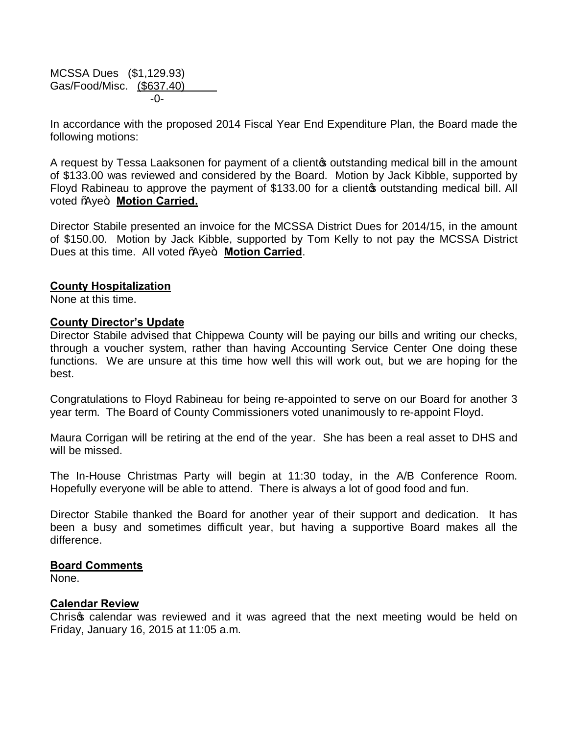MCSSA Dues (\$1,129.93) Gas/Food/Misc. (\$637.40) -0-

In accordance with the proposed 2014 Fiscal Year End Expenditure Plan, the Board made the following motions:

A request by Tessa Laaksonen for payment of a client outstanding medical bill in the amount of \$133.00 was reviewed and considered by the Board. Motion by Jack Kibble, supported by Floyd Rabineau to approve the payment of \$133.00 for a cliento outstanding medical bill. All voted %ye+. Motion Carried.

Director Stabile presented an invoice for the MCSSA District Dues for 2014/15, in the amount of \$150.00. Motion by Jack Kibble, supported by Tom Kelly to not pay the MCSSA District Dues at this time. All voted % ye+. Motion Carried.

#### **County Hospitalization**

None at this time.

#### **County Director's Update**

Director Stabile advised that Chippewa County will be paying our bills and writing our checks, through a voucher system, rather than having Accounting Service Center One doing these functions. We are unsure at this time how well this will work out, but we are hoping for the best.

Congratulations to Floyd Rabineau for being re-appointed to serve on our Board for another 3 year term. The Board of County Commissioners voted unanimously to re-appoint Floyd.

Maura Corrigan will be retiring at the end of the year. She has been a real asset to DHS and will be missed.

The In-House Christmas Party will begin at 11:30 today, in the A/B Conference Room. Hopefully everyone will be able to attend. There is always a lot of good food and fun.

Director Stabile thanked the Board for another year of their support and dedication. It has been a busy and sometimes difficult year, but having a supportive Board makes all the difference.

#### **Board Comments**

None.

#### **Calendar Review**

Chris calendar was reviewed and it was agreed that the next meeting would be held on Friday, January 16, 2015 at 11:05 a.m.